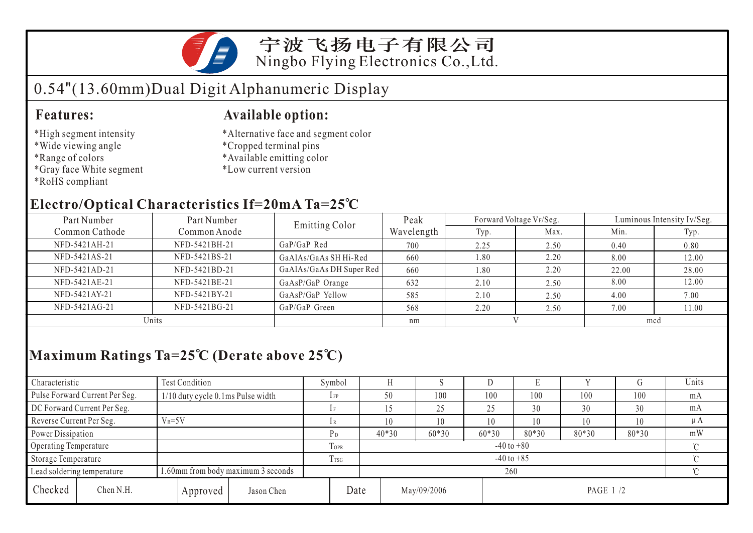

### 宁波飞扬电子有限公司 Ningbo Flying Electronics Co.,Ltd.

# 0.54"(13.60mm)Dual Digit Alphanumeric Display

- \*High segment intensity
- \*Wide viewing angle
- \*Range of colors
- \*Gray face White segment
- \*RoHS compliant

#### **Features: Available option:**

- \*Alternative face and segment color
- \*Cropped terminal pins
- \*Available emitting color
- \*Low current version

### **Electro/Optical Characteristics If=20mA Ta=25 C**

| Part Number    | Part Number   | Emitting Color           | Peak       |      | Forward Voltage VF/Seg. | Luminous Intensity Iv/Seg. |       |  |
|----------------|---------------|--------------------------|------------|------|-------------------------|----------------------------|-------|--|
| Common Cathode | Common Anode  |                          | Wavelength | Typ. | Max.                    | Min.                       | Typ.  |  |
| NFD-5421AH-21  | NFD-5421BH-21 | GaP/GaP Red              | 700        | 2.25 | 2.50                    | 0.40                       | 0.80  |  |
| NFD-5421AS-21  | NFD-5421BS-21 | GaAlAs/GaAs SH Hi-Red    | 660        | 1.80 | 2.20                    | 8.00                       | 12.00 |  |
| NFD-5421AD-21  | NFD-5421BD-21 | GaAlAs/GaAs DH Super Red | 660        | 1.80 | 2.20                    | 22.00                      | 28.00 |  |
| NFD-5421AE-21  | NFD-5421BE-21 | GaAsP/GaP Orange         | 632        | 2.10 | 2.50                    | 8.00                       | 12.00 |  |
| NFD-5421AY-21  | NFD-5421BY-21 | GaAsP/GaP Yellow         | 585        | 2.10 | 2.50                    | 4.00                       | 7.00  |  |
| NFD-5421AG-21  | NFD-5421BG-21 | $GaP/GaP$ Green          | 568        | 2.20 | 2.50                    | 7.00                       | 1.00  |  |
| Units          |               |                          | nm         |      |                         | mcd                        |       |  |

## **Maximum Ratings Ta=25 C (Derate above 25 C)**

| Characteristic           |                                | Test Condition                    |                                           |            |                            | Symbol                   |                         |          |         |         | Ľ     |       |       | Units   |
|--------------------------|--------------------------------|-----------------------------------|-------------------------------------------|------------|----------------------------|--------------------------|-------------------------|----------|---------|---------|-------|-------|-------|---------|
|                          | Pulse Forward Current Per Seg. | 1/10 duty cycle 0.1ms Pulse width |                                           |            |                            | $1$ FP                   | 50                      |          | 100     | 100     | 100   | 100   | 100   | mA      |
|                          | DC Forward Current Per Seg.    |                                   |                                           |            |                            | 1 F                      |                         |          | 25      | 25      | 30    | 30    | 30    | mA      |
| Reverse Current Per Seg. |                                | $V_R = 5V$                        |                                           |            |                            | 1 R                      | 10                      |          | 10      | 10      | 10    | 10    | 10    | $\mu A$ |
| Power Dissipation        |                                |                                   |                                           |            |                            | РD                       | $40*30$                 |          | $60*30$ | $60*30$ | 80*30 | 80*30 | 80*30 | mW      |
| Operating Temperature    |                                |                                   |                                           |            | <b>TOPR</b>                | $-40$ to $+80$<br>$\sim$ |                         |          |         |         |       |       |       |         |
| Storage Temperature      |                                |                                   |                                           | $l$ TSG    | $-40$ to $+85$<br>$\gamma$ |                          |                         |          |         |         |       |       |       |         |
|                          | Lead soldering temperature     |                                   | 1.60mm from body maximum 3 seconds<br>260 |            |                            |                          |                         | $\gamma$ |         |         |       |       |       |         |
| Checked                  | Chen N.H.                      |                                   | Approved                                  | Jason Chen |                            | Date                     | May/09/2006<br>PAGE 1/2 |          |         |         |       |       |       |         |